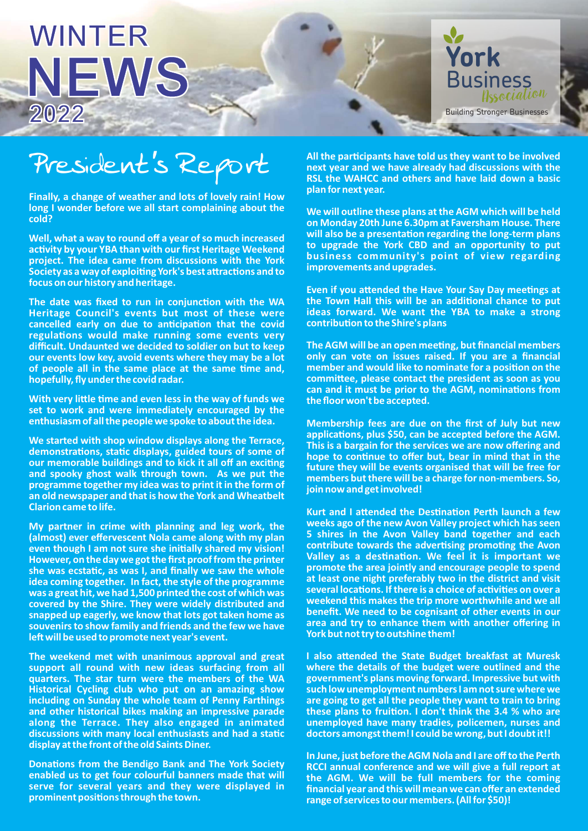## **WINTER 2022 NEWS York**



**Finally, a change of weather and lots of lovely rain! How long I wonder before we all start complaining about the cold?**

**Well, what a way to round off a year of so much increased**  activity by your YBA than with our first Heritage Weekend **project. The idea came from discussions with the York**  Society as a way of exploiting York's best attractions and to **focus on our history and heritage.** 

The date was fixed to run in conjunction with the WA **Heritage Council's events but most of these were**  cancelled early on due to anticipation that the covid **regulations would make running some events very difficult. Undaunted we decided to soldier on but to keep our events low key, avoid events where they may be a lot**  of people all in the same place at the same time and, **hopefully, fly under the covid radar.** 

**With very little time and even less in the way of funds we set to work and were immediately encouraged by the enthusiasm of all the people we spoke to about the idea.** 

**We started with shop window displays along the Terrace,**  demonstrations, static displays, guided tours of some of **our memorable buildings and to kick it all off an exciting and spooky ghost walk through town. As we put the programme together my idea was to print it in the form of an old newspaper and that is how the York and Wheatbelt Clarion came to life.**

**My partner in crime with planning and leg work, the (almost) ever effervescent Nola came along with my plan even though I am not sure she initially shared my vision! However, on the day we got the first proof from the printer**  she was ecstatic, as was I, and finally we saw the whole **idea coming together. In fact, the style of the programme was a great hit, we had 1,500 printed the cost of which was covered by the Shire. They were widely distributed and snapped up eagerly, we know that lots got taken home as souvenirs to show family and friends and the few we have le will be used to promote next year's event.**

**The weekend met with unanimous approval and great support all round with new ideas surfacing from all quarters. The star turn were the members of the WA Historical Cycling club who put on an amazing show including on Sunday the whole team of Penny Farthings and other historical bikes making an impressive parade along the Terrace. They also engaged in animated**  discussions with many local enthusiasts and had a static **display at the front of the old Saints Diner.** 

**Donations from the Bendigo Bank and The York Society enabled us to get four colourful banners made that will serve for several years and they were displayed in prominent positions through the town.** 

**President's Report** All the participants have told us they want to be involved<br>**Report** Report and we have already had discussions with the **next year and we have already had discussions with the RSL the WAHCC and others and have laid down a basic plan for next year.** 

> **We will outline these plans at the AGM which will be held on Monday 20th June 6.30pm at Faversham House. There**  will also be a presentation regarding the long-term plans **to upgrade the York CBD and an opportunity to put business community's point of view regarding improvements and upgrades.**

> **Even if you attended the Have Your Say Day meetings at** the Town Hall this will be an additional chance to put **ideas forward. We want the YBA to make a strong contribution to the Shire's plans**

> **The AGM will be an open meeting, but financial members only can vote on issues raised. If you are a financial**  member and would like to nominate for a position on the committee, please contact the president as soon as you can and it must be prior to the AGM, nominations from **the floor won't be accepted.**

> **Membership fees are due on the first of July but new**  applications, plus \$50, can be accepted before the AGM. **This is a bargain for the services we are now offering and**  hope to continue to offer but, bear in mind that in the **future they will be events organised that will be free for members but there will be a charge for non-members. So, join now and get involved!**

> **Kurt and I attended the Destination Perth launch a few weeks ago of the new Avon Valley project which has seen 5 shires in the Avon Valley band together and each**  contribute towards the advertising promoting the Avon **Valley as a desnaon. We feel it is important we promote the area jointly and encourage people to spend at least one night preferably two in the district and visit**  several locations. If there is a choice of activities on over a **weekend this makes the trip more worthwhile and we all benefit. We need to be cognisant of other events in our area and try to enhance them with another offering in York but not try to outshine them!**

> **I also attended the State Budget breakfast at Muresk where the details of the budget were outlined and the government's plans moving forward. Impressive but with such low unemployment numbers I am not sure where we are going to get all the people they want to train to bring**  these plans to fruition. I don't think the 3.4 % who are **unemployed have many tradies, policemen, nurses and doctors amongst them! I could be wrong, but I doubt it!!**

> **In June, just before the AGM Nola and I are off to the Perth RCCI annual conference and we will give a full report at the AGM. We will be full members for the coming financial year and this will mean we can offer an extended range of services to our members. (All for \$50)!**